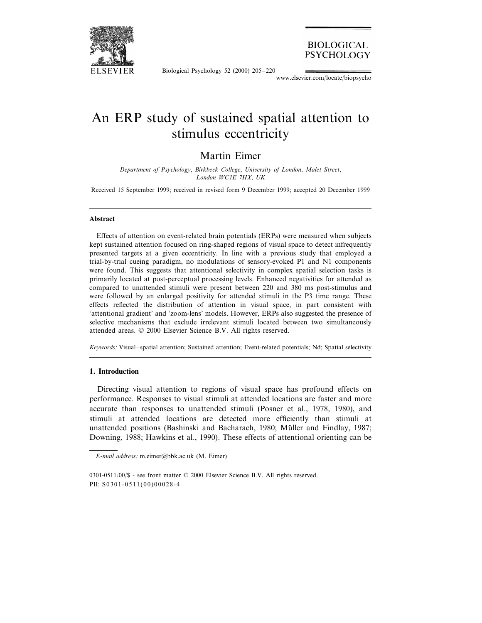

**BIOLOGICAL PSYCHOLOGY** 

Biological Psychology 52 (2000) 205–220

www.elsevier.com/locate/biopsycho

# An ERP study of sustained spatial attention to stimulus eccentricity

# Martin Eimer

*Department of Psychology, Birkbeck College, University of London, Malet Street, London WC*1*E* <sup>7</sup>*HX*, *UK*

Received 15 September 1999; received in revised form 9 December 1999; accepted 20 December 1999

# **Abstract**

Effects of attention on event-related brain potentials (ERPs) were measured when subjects kept sustained attention focused on ring-shaped regions of visual space to detect infrequently presented targets at a given eccentricity. In line with a previous study that employed a trial-by-trial cueing paradigm, no modulations of sensory-evoked P1 and N1 components were found. This suggests that attentional selectivity in complex spatial selection tasks is primarily located at post-perceptual processing levels. Enhanced negativities for attended as compared to unattended stimuli were present between 220 and 380 ms post-stimulus and were followed by an enlarged positivity for attended stimuli in the P3 time range. These effects reflected the distribution of attention in visual space, in part consistent with 'attentional gradient' and 'zoom-lens' models. However, ERPs also suggested the presence of selective mechanisms that exclude irrelevant stimuli located between two simultaneously attended areas. © 2000 Elsevier Science B.V. All rights reserved.

*Keywords*: Visual–spatial attention; Sustained attention; Event-related potentials; Nd; Spatial selectivity

#### **1. Introduction**

Directing visual attention to regions of visual space has profound effects on performance. Responses to visual stimuli at attended locations are faster and more accurate than responses to unattended stimuli (Posner et al., 1978, 1980), and stimuli at attended locations are detected more efficiently than stimuli at unattended positions (Bashinski and Bacharach, 1980; Müller and Findlay, 1987; Downing, 1988; Hawkins et al., 1990). These effects of attentional orienting can be

*E*-*mail address*: m.eimer@bbk.ac.uk (M. Eimer)

<sup>0301-0511</sup>/00/\$ - see front matter © 2000 Elsevier Science B.V. All rights reserved. PII: S0301-0511(00)00028-4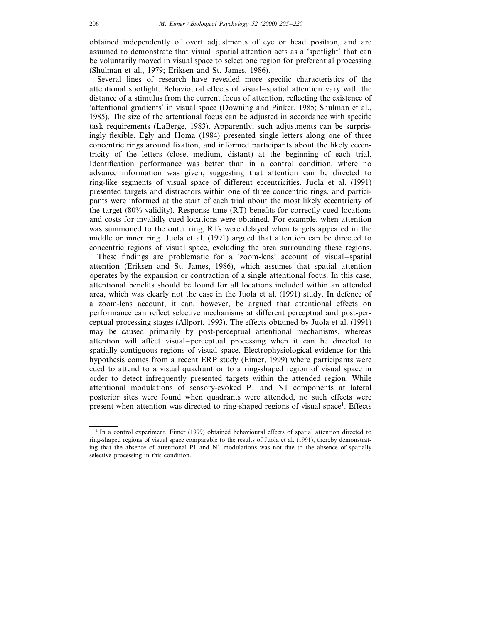obtained independently of overt adjustments of eye or head position, and are assumed to demonstrate that visual–spatial attention acts as a 'spotlight' that can be voluntarily moved in visual space to select one region for preferential processing (Shulman et al., 1979; Eriksen and St. James, 1986).

Several lines of research have revealed more specific characteristics of the attentional spotlight. Behavioural effects of visual–spatial attention vary with the distance of a stimulus from the current focus of attention, reflecting the existence of 'attentional gradients' in visual space (Downing and Pinker, 1985; Shulman et al., 1985). The size of the attentional focus can be adjusted in accordance with specific task requirements (LaBerge, 1983). Apparently, such adjustments can be surprisingly flexible. Egly and Homa (1984) presented single letters along one of three concentric rings around fixation, and informed participants about the likely eccentricity of the letters (close, medium, distant) at the beginning of each trial. Identification performance was better than in a control condition, where no advance information was given, suggesting that attention can be directed to ring-like segments of visual space of different eccentricities. Juola et al. (1991) presented targets and distractors within one of three concentric rings, and participants were informed at the start of each trial about the most likely eccentricity of the target (80% validity). Response time (RT) benefits for correctly cued locations and costs for invalidly cued locations were obtained. For example, when attention was summoned to the outer ring, RTs were delayed when targets appeared in the middle or inner ring. Juola et al. (1991) argued that attention can be directed to concentric regions of visual space, excluding the area surrounding these regions.

These findings are problematic for a 'zoom-lens' account of visual–spatial attention (Eriksen and St. James, 1986), which assumes that spatial attention operates by the expansion or contraction of a single attentional focus. In this case, attentional benefits should be found for all locations included within an attended area, which was clearly not the case in the Juola et al. (1991) study. In defence of a zoom-lens account, it can, however, be argued that attentional effects on performance can reflect selective mechanisms at different perceptual and post-perceptual processing stages (Allport, 1993). The effects obtained by Juola et al. (1991) may be caused primarily by post-perceptual attentional mechanisms, whereas attention will affect visual–perceptual processing when it can be directed to spatially contiguous regions of visual space. Electrophysiological evidence for this hypothesis comes from a recent ERP study (Eimer, 1999) where participants were cued to attend to a visual quadrant or to a ring-shaped region of visual space in order to detect infrequently presented targets within the attended region. While attentional modulations of sensory-evoked P1 and N1 components at lateral posterior sites were found when quadrants were attended, no such effects were present when attention was directed to ring-shaped regions of visual space<sup>1</sup>. Effects

<sup>&</sup>lt;sup>1</sup> In a control experiment, Eimer (1999) obtained behavioural effects of spatial attention directed to ring-shaped regions of visual space comparable to the results of Juola et al. (1991), thereby demonstrating that the absence of attentional P1 and N1 modulations was not due to the absence of spatially selective processing in this condition.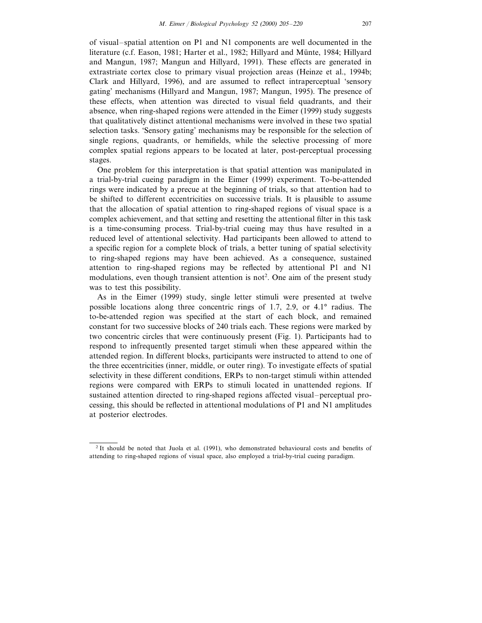of visual–spatial attention on P1 and N1 components are well documented in the literature (c.f. Eason, 1981; Harter et al., 1982; Hillyard and Münte, 1984; Hillyard and Mangun, 1987; Mangun and Hillyard, 1991). These effects are generated in extrastriate cortex close to primary visual projection areas (Heinze et al., 1994b; Clark and Hillyard, 1996), and are assumed to reflect intraperceptual 'sensory gating' mechanisms (Hillyard and Mangun, 1987; Mangun, 1995). The presence of these effects, when attention was directed to visual field quadrants, and their absence, when ring-shaped regions were attended in the Eimer (1999) study suggests that qualitatively distinct attentional mechanisms were involved in these two spatial selection tasks. 'Sensory gating' mechanisms may be responsible for the selection of single regions, quadrants, or hemifields, while the selective processing of more complex spatial regions appears to be located at later, post-perceptual processing stages.

One problem for this interpretation is that spatial attention was manipulated in a trial-by-trial cueing paradigm in the Eimer (1999) experiment. To-be-attended rings were indicated by a precue at the beginning of trials, so that attention had to be shifted to different eccentricities on successive trials. It is plausible to assume that the allocation of spatial attention to ring-shaped regions of visual space is a complex achievement, and that setting and resetting the attentional filter in this task is a time-consuming process. Trial-by-trial cueing may thus have resulted in a reduced level of attentional selectivity. Had participants been allowed to attend to a specific region for a complete block of trials, a better tuning of spatial selectivity to ring-shaped regions may have been achieved. As a consequence, sustained attention to ring-shaped regions may be reflected by attentional P1 and N1 modulations, even though transient attention is not<sup>2</sup>. One aim of the present study was to test this possibility.

As in the Eimer (1999) study, single letter stimuli were presented at twelve possible locations along three concentric rings of 1.7, 2.9, or 4.1° radius. The to-be-attended region was specified at the start of each block, and remained constant for two successive blocks of 240 trials each. These regions were marked by two concentric circles that were continuously present (Fig. 1). Participants had to respond to infrequently presented target stimuli when these appeared within the attended region. In different blocks, participants were instructed to attend to one of the three eccentricities (inner, middle, or outer ring). To investigate effects of spatial selectivity in these different conditions, ERPs to non-target stimuli within attended regions were compared with ERPs to stimuli located in unattended regions. If sustained attention directed to ring-shaped regions affected visual–perceptual processing, this should be reflected in attentional modulations of P1 and N1 amplitudes at posterior electrodes.

<sup>&</sup>lt;sup>2</sup>It should be noted that Juola et al. (1991), who demonstrated behavioural costs and benefits of attending to ring-shaped regions of visual space, also employed a trial-by-trial cueing paradigm.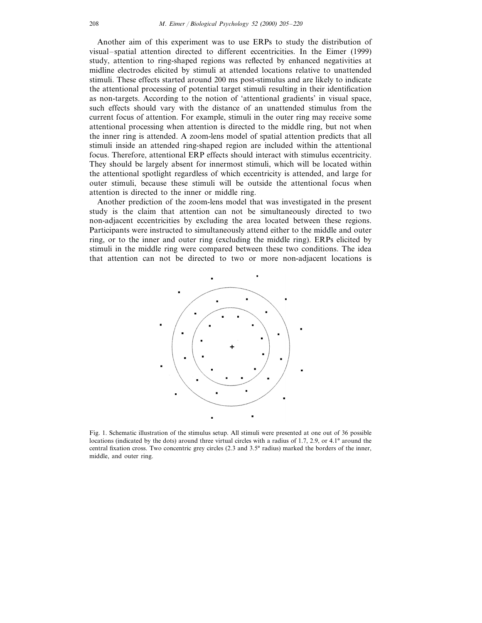Another aim of this experiment was to use ERPs to study the distribution of visual–spatial attention directed to different eccentricities. In the Eimer (1999) study, attention to ring-shaped regions was reflected by enhanced negativities at midline electrodes elicited by stimuli at attended locations relative to unattended stimuli. These effects started around 200 ms post-stimulus and are likely to indicate the attentional processing of potential target stimuli resulting in their identification as non-targets. According to the notion of 'attentional gradients' in visual space, such effects should vary with the distance of an unattended stimulus from the current focus of attention. For example, stimuli in the outer ring may receive some attentional processing when attention is directed to the middle ring, but not when the inner ring is attended. A zoom-lens model of spatial attention predicts that all stimuli inside an attended ring-shaped region are included within the attentional focus. Therefore, attentional ERP effects should interact with stimulus eccentricity. They should be largely absent for innermost stimuli, which will be located within the attentional spotlight regardless of which eccentricity is attended, and large for outer stimuli, because these stimuli will be outside the attentional focus when attention is directed to the inner or middle ring.

Another prediction of the zoom-lens model that was investigated in the present study is the claim that attention can not be simultaneously directed to two non-adjacent eccentricities by excluding the area located between these regions. Participants were instructed to simultaneously attend either to the middle and outer ring, or to the inner and outer ring (excluding the middle ring). ERPs elicited by stimuli in the middle ring were compared between these two conditions. The idea that attention can not be directed to two or more non-adjacent locations is



Fig. 1. Schematic illustration of the stimulus setup. All stimuli were presented at one out of 36 possible locations (indicated by the dots) around three virtual circles with a radius of 1.7, 2.9, or 4.1° around the central fixation cross. Two concentric grey circles (2.3 and 3.5° radius) marked the borders of the inner, middle, and outer ring.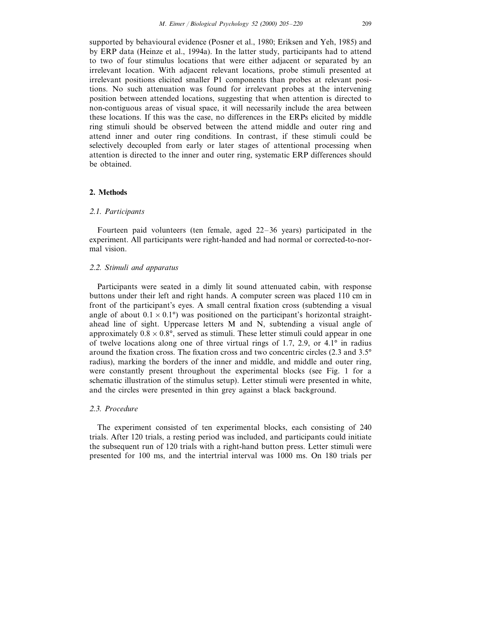supported by behavioural evidence (Posner et al., 1980; Eriksen and Yeh, 1985) and by ERP data (Heinze et al., 1994a). In the latter study, participants had to attend to two of four stimulus locations that were either adjacent or separated by an irrelevant location. With adjacent relevant locations, probe stimuli presented at irrelevant positions elicited smaller P1 components than probes at relevant positions. No such attenuation was found for irrelevant probes at the intervening position between attended locations, suggesting that when attention is directed to non-contiguous areas of visual space, it will necessarily include the area between these locations. If this was the case, no differences in the ERPs elicited by middle ring stimuli should be observed between the attend middle and outer ring and attend inner and outer ring conditions. In contrast, if these stimuli could be selectively decoupled from early or later stages of attentional processing when attention is directed to the inner and outer ring, systematic ERP differences should be obtained.

#### **2. Methods**

#### <sup>2</sup>.1. *Participants*

Fourteen paid volunteers (ten female, aged 22–36 years) participated in the experiment. All participants were right-handed and had normal or corrected-to-normal vision.

#### <sup>2</sup>.2. *Stimuli and apparatus*

Participants were seated in a dimly lit sound attenuated cabin, with response buttons under their left and right hands. A computer screen was placed 110 cm in front of the participant's eyes. A small central fixation cross (subtending a visual angle of about  $0.1 \times 0.1^{\circ}$ ) was positioned on the participant's horizontal straightahead line of sight. Uppercase letters M and N, subtending a visual angle of approximately  $0.8 \times 0.8^{\circ}$ , served as stimuli. These letter stimuli could appear in one of twelve locations along one of three virtual rings of 1.7, 2.9, or 4.1° in radius around the fixation cross. The fixation cross and two concentric circles (2.3 and 3.5° radius), marking the borders of the inner and middle, and middle and outer ring, were constantly present throughout the experimental blocks (see Fig. 1 for a schematic illustration of the stimulus setup). Letter stimuli were presented in white, and the circles were presented in thin grey against a black background.

#### <sup>2</sup>.3. *Procedure*

The experiment consisted of ten experimental blocks, each consisting of 240 trials. After 120 trials, a resting period was included, and participants could initiate the subsequent run of 120 trials with a right-hand button press. Letter stimuli were presented for 100 ms, and the intertrial interval was 1000 ms. On 180 trials per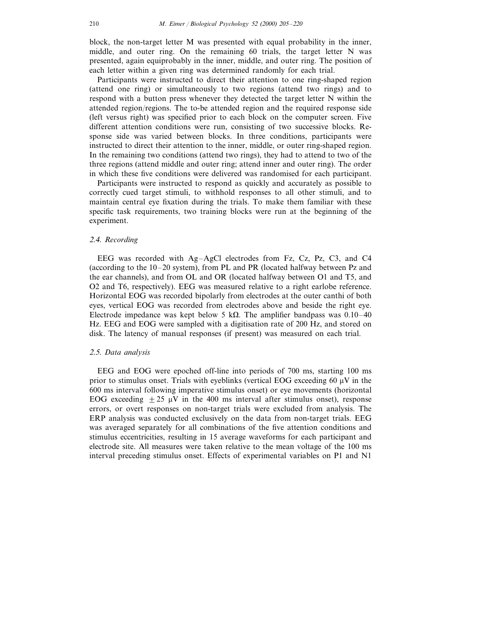block, the non-target letter M was presented with equal probability in the inner, middle, and outer ring. On the remaining 60 trials, the target letter N was presented, again equiprobably in the inner, middle, and outer ring. The position of each letter within a given ring was determined randomly for each trial.

Participants were instructed to direct their attention to one ring-shaped region (attend one ring) or simultaneously to two regions (attend two rings) and to respond with a button press whenever they detected the target letter N within the attended region/regions. The to-be attended region and the required response side (left versus right) was specified prior to each block on the computer screen. Five different attention conditions were run, consisting of two successive blocks. Response side was varied between blocks. In three conditions, participants were instructed to direct their attention to the inner, middle, or outer ring-shaped region. In the remaining two conditions (attend two rings), they had to attend to two of the three regions (attend middle and outer ring; attend inner and outer ring). The order in which these five conditions were delivered was randomised for each participant.

Participants were instructed to respond as quickly and accurately as possible to correctly cued target stimuli, to withhold responses to all other stimuli, and to maintain central eye fixation during the trials. To make them familiar with these specific task requirements, two training blocks were run at the beginning of the experiment.

# <sup>2</sup>.4. *Recording*

EEG was recorded with  $Ag-AgCl$  electrodes from Fz, Cz, Pz, C3, and C4 (according to the 10–20 system), from PL and PR (located halfway between Pz and the ear channels), and from OL and OR (located halfway between O1 and T5, and O2 and T6, respectively). EEG was measured relative to a right earlobe reference. Horizontal EOG was recorded bipolarly from electrodes at the outer canthi of both eyes, vertical EOG was recorded from electrodes above and beside the right eye. Electrode impedance was kept below 5 k $\Omega$ . The amplifier bandpass was 0.10–40 Hz. EEG and EOG were sampled with a digitisation rate of 200 Hz, and stored on disk. The latency of manual responses (if present) was measured on each trial.

# <sup>2</sup>.5. *Data analysis*

EEG and EOG were epoched off-line into periods of 700 ms, starting 100 ms prior to stimulus onset. Trials with eyeblinks (vertical EOG exceeding 60  $\mu$ V in the 600 ms interval following imperative stimulus onset) or eye movements (horizontal EOG exceeding  $\pm 25$  µV in the 400 ms interval after stimulus onset), response errors, or overt responses on non-target trials were excluded from analysis. The ERP analysis was conducted exclusively on the data from non-target trials. EEG was averaged separately for all combinations of the five attention conditions and stimulus eccentricities, resulting in 15 average waveforms for each participant and electrode site. All measures were taken relative to the mean voltage of the 100 ms interval preceding stimulus onset. Effects of experimental variables on P1 and N1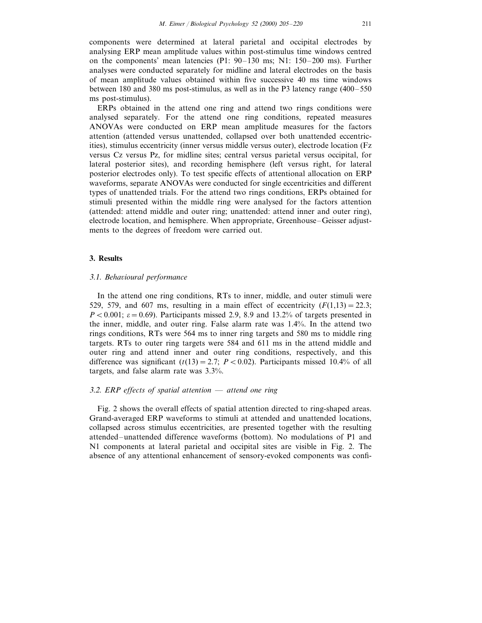components were determined at lateral parietal and occipital electrodes by analysing ERP mean amplitude values within post-stimulus time windows centred on the components' mean latencies (P1: 90–130 ms; N1: 150–200 ms). Further analyses were conducted separately for midline and lateral electrodes on the basis of mean amplitude values obtained within five successive 40 ms time windows between 180 and 380 ms post-stimulus, as well as in the P3 latency range (400–550 ms post-stimulus).

ERPs obtained in the attend one ring and attend two rings conditions were analysed separately. For the attend one ring conditions, repeated measures ANOVAs were conducted on ERP mean amplitude measures for the factors attention (attended versus unattended, collapsed over both unattended eccentricities), stimulus eccentricity (inner versus middle versus outer), electrode location (Fz versus Cz versus Pz, for midline sites; central versus parietal versus occipital, for lateral posterior sites), and recording hemisphere (left versus right, for lateral posterior electrodes only). To test specific effects of attentional allocation on ERP waveforms, separate ANOVAs were conducted for single eccentricities and different types of unattended trials. For the attend two rings conditions, ERPs obtained for stimuli presented within the middle ring were analysed for the factors attention (attended: attend middle and outer ring; unattended: attend inner and outer ring), electrode location, and hemisphere. When appropriate, Greenhouse–Geisser adjustments to the degrees of freedom were carried out.

# **3. Results**

#### <sup>3</sup>.1. *Beha*6*ioural performance*

In the attend one ring conditions, RTs to inner, middle, and outer stimuli were 529, 579, and 607 ms, resulting in a main effect of eccentricity  $(F(1,13)=22.3;$  $P < 0.001$ ;  $\varepsilon = 0.69$ ). Participants missed 2.9, 8.9 and 13.2% of targets presented in the inner, middle, and outer ring. False alarm rate was 1.4%. In the attend two rings conditions, RTs were 564 ms to inner ring targets and 580 ms to middle ring targets. RTs to outer ring targets were 584 and 611 ms in the attend middle and outer ring and attend inner and outer ring conditions, respectively, and this difference was significant  $(t(13)=2.7; P<0.02)$ . Participants missed 10.4% of all targets, and false alarm rate was 3.3%.

#### 3.2. *ERP effects of spatial attention* — *attend one ring*

Fig. 2 shows the overall effects of spatial attention directed to ring-shaped areas. Grand-averaged ERP waveforms to stimuli at attended and unattended locations, collapsed across stimulus eccentricities, are presented together with the resulting attended–unattended difference waveforms (bottom). No modulations of P1 and N1 components at lateral parietal and occipital sites are visible in Fig. 2. The absence of any attentional enhancement of sensory-evoked components was confi-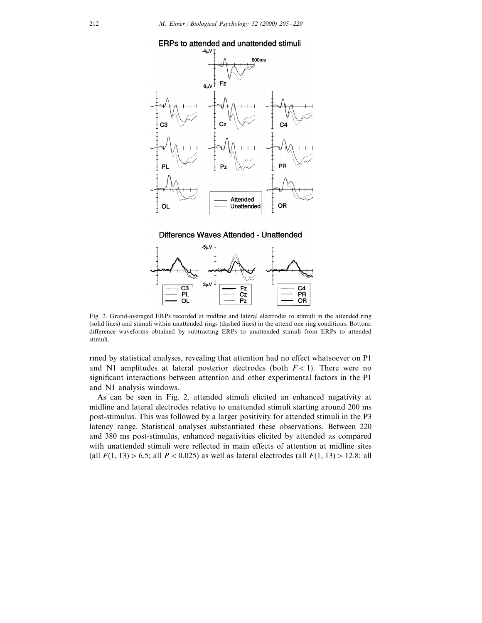

Difference Waves Attended - Unattended



Fig. 2. Grand-averaged ERPs recorded at midline and lateral electrodes to stimuli in the attended ring (solid lines) and stimuli within unattended rings (dashed lines) in the attend one ring conditions. Bottom: difference waveforms obtained by subtracting ERPs to unattended stimuli from ERPs to attended stimuli.

rmed by statistical analyses, revealing that attention had no effect whatsoever on P1 and N1 amplitudes at lateral posterior electrodes (both  $F < 1$ ). There were no significant interactions between attention and other experimental factors in the P1 and N1 analysis windows.

As can be seen in Fig. 2, attended stimuli elicited an enhanced negativity at midline and lateral electrodes relative to unattended stimuli starting around 200 ms post-stimulus. This was followed by a larger positivity for attended stimuli in the P3 latency range. Statistical analyses substantiated these observations. Between 220 and 380 ms post-stimulus, enhanced negativities elicited by attended as compared with unattended stimuli were reflected in main effects of attention at midline sites (all  $F(1, 13) > 6.5$ ; all  $P < 0.025$ ) as well as lateral electrodes (all  $F(1, 13) > 12.8$ ; all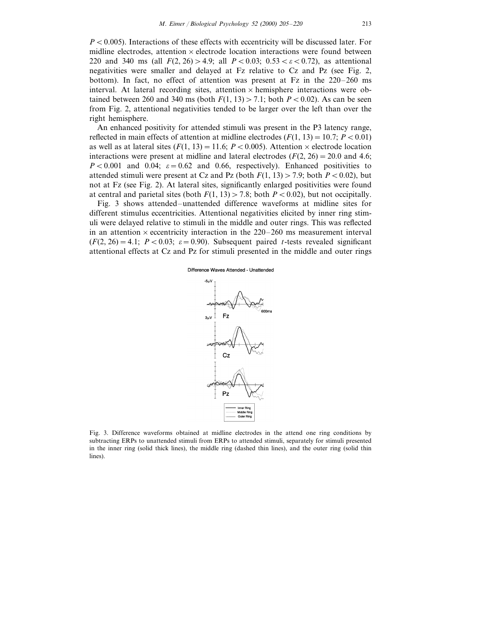$P < 0.005$ ). Interactions of these effects with eccentricity will be discussed later. For midline electrodes, attention  $\times$  electrode location interactions were found between 220 and 340 ms (all  $F(2, 26) > 4.9$ ; all  $P < 0.03$ ;  $0.53 < \varepsilon < 0.72$ ), as attentional negativities were smaller and delayed at Fz relative to Cz and Pz (see Fig. 2, bottom). In fact, no effect of attention was present at  $Fz$  in the 220–260 ms interval. At lateral recording sites, attention  $\times$  hemisphere interactions were obtained between 260 and 340 ms (both  $F(1, 13) > 7.1$ ; both  $P < 0.02$ ). As can be seen from Fig. 2, attentional negativities tended to be larger over the left than over the right hemisphere.

An enhanced positivity for attended stimuli was present in the P3 latency range, reflected in main effects of attention at midline electrodes  $(F(1, 13) = 10.7; P < 0.01)$ as well as at lateral sites  $(F(1, 13) = 11.6; P < 0.005)$ . Attention  $\times$  electrode location interactions were present at midline and lateral electrodes  $(F(2, 26) = 20.0$  and 4.6;  $P < 0.001$  and 0.04;  $\varepsilon = 0.62$  and 0.66, respectively). Enhanced positivities to attended stimuli were present at Cz and Pz (both  $F(1, 13) > 7.9$ ; both  $P < 0.02$ ), but not at Fz (see Fig. 2). At lateral sites, significantly enlarged positivities were found at central and parietal sites (both  $F(1, 13) > 7.8$ ; both  $P < 0.02$ ), but not occipitally.

Fig. 3 shows attended–unattended difference waveforms at midline sites for different stimulus eccentricities. Attentional negativities elicited by inner ring stimuli were delayed relative to stimuli in the middle and outer rings. This was reflected in an attention  $\times$  eccentricity interaction in the 220–260 ms measurement interval  $(F(2, 26) = 4.1; P < 0.03; \varepsilon = 0.90)$ . Subsequent paired *t*-tests revealed significant attentional effects at Cz and Pz for stimuli presented in the middle and outer rings





Fig. 3. Difference waveforms obtained at midline electrodes in the attend one ring conditions by subtracting ERPs to unattended stimuli from ERPs to attended stimuli, separately for stimuli presented in the inner ring (solid thick lines), the middle ring (dashed thin lines), and the outer ring (solid thin lines).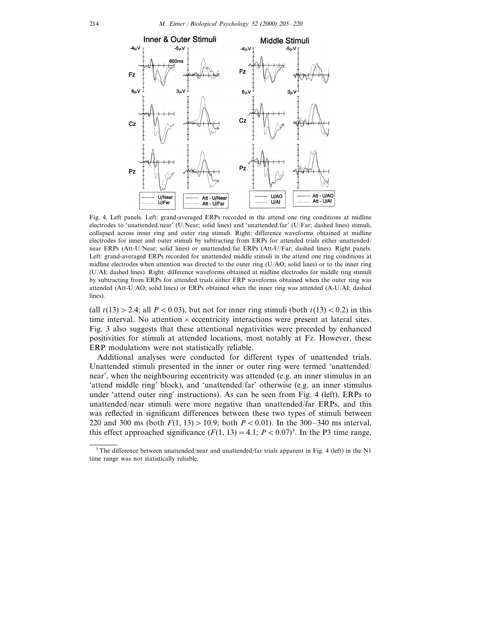

Fig. 4. Left panels. Left: grand-averaged ERPs recorded in the attend one ring conditions at midline electrodes to 'unattended/near' (U/Near; solid lines) and 'unattended/far' (U/Far; dashed lines) stimuli, collapsed across inner ring and outer ring stimuli. Right: difference waveforms obtained at midline electrodes for inner and outer stimuli by subtracting from ERPs for attended trials either unattended/ near ERPs (Att-U/Near; solid lines) or unattended/far ERPs (Att-U/Far; dashed lines). Right panels. Left: grand-averaged ERPs recorded for unattended middle stimuli in the attend one ring conditions at midline electrodes when attention was directed to the outer ring (U/AO; solid lines) or to the inner ring (U/AI; dashed lines). Right: difference waveforms obtained at midline electrodes for middle ring stimuli by subtracting from ERPs for attended trials either ERP waveforms obtained when the outer ring was attended (Att-U/AO; solid lines) or ERPs obtained when the inner ring was attended (A-U/AI; dashed lines).

(all  $t(13) > 2.4$ ; all  $P < 0.03$ ), but not for inner ring stimuli (both  $t(13) < 0.2$ ) in this time interval. No attention  $\times$  eccentricity interactions were present at lateral sites. Fig. 3 also suggests that these attentional negativities were preceded by enhanced positivities for stimuli at attended locations, most notably at Fz. However, these ERP modulations were not statistically reliable.

Additional analyses were conducted for different types of unattended trials. Unattended stimuli presented in the inner or outer ring were termed 'unattended/ near', when the neighbouring eccentricity was attended (e.g. an inner stimulus in an 'attend middle ring' block), and 'unattended/far' otherwise (e.g. an inner stimulus under 'attend outer ring' instructions). As can be seen from Fig. 4 (left), ERPs to unattended/near stimuli were more negative than unattended/far ERPs, and this was reflected in significant differences between these two types of stimuli between 220 and 300 ms (both  $F(1, 13) > 10.9$ ; both  $P < 0.01$ ). In the 300–340 ms interval, this effect approached significance  $(F(1, 13) = 4.1; P < 0.07)^3$ . In the P3 time range,

<sup>3</sup> The difference between unattended/near and unattended/far trials apparent in Fig. 4 (left) in the N1 time range was not statistically reliable.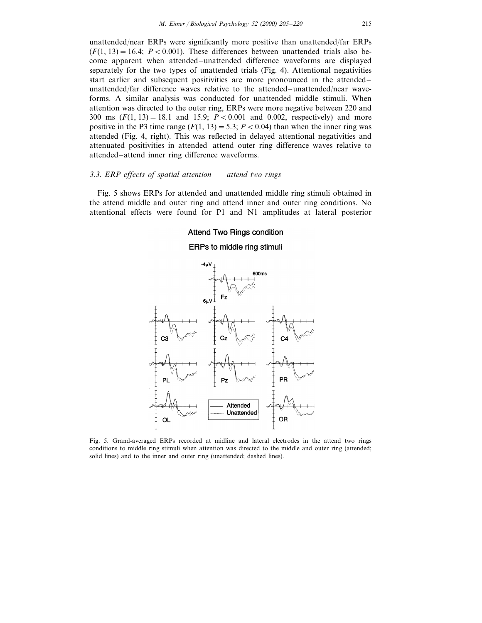unattended/near ERPs were significantly more positive than unattended/far ERPs  $(F(1, 13) = 16.4; P < 0.001)$ . These differences between unattended trials also become apparent when attended–unattended difference waveforms are displayed separately for the two types of unattended trials (Fig. 4). Attentional negativities start earlier and subsequent positivities are more pronounced in the attended– unattended/far difference waves relative to the attended–unattended/near waveforms. A similar analysis was conducted for unattended middle stimuli. When attention was directed to the outer ring, ERPs were more negative between 220 and 300 ms  $(F(1, 13) = 18.1$  and 15.9;  $P < 0.001$  and 0.002, respectively) and more positive in the P3 time range ( $F(1, 13) = 5.3$ ;  $P < 0.04$ ) than when the inner ring was attended (Fig. 4, right). This was reflected in delayed attentional negativities and attenuated positivities in attended–attend outer ring difference waves relative to attended–attend inner ring difference waveforms.

### 3.3. *ERP effects of spatial attention* — *attend two rings*

Fig. 5 shows ERPs for attended and unattended middle ring stimuli obtained in the attend middle and outer ring and attend inner and outer ring conditions. No attentional effects were found for P1 and N1 amplitudes at lateral posterior

### **Attend Two Rings condition**

# ERPs to middle ring stimuli



Fig. 5. Grand-averaged ERPs recorded at midline and lateral electrodes in the attend two rings conditions to middle ring stimuli when attention was directed to the middle and outer ring (attended; solid lines) and to the inner and outer ring (unattended; dashed lines).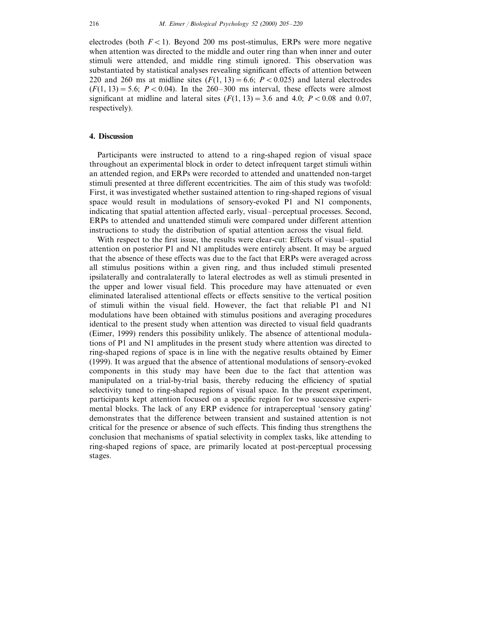electrodes (both  $F < 1$ ). Beyond 200 ms post-stimulus, ERPs were more negative when attention was directed to the middle and outer ring than when inner and outer stimuli were attended, and middle ring stimuli ignored. This observation was substantiated by statistical analyses revealing significant effects of attention between 220 and 260 ms at midline sites  $(F(1, 13) = 6.6; P < 0.025)$  and lateral electrodes  $(F(1, 13)) = 5.6$ ;  $P < 0.04$ ). In the 260–300 ms interval, these effects were almost significant at midline and lateral sites  $(F(1, 13)) = 3.6$  and 4.0;  $P < 0.08$  and 0.07, respectively).

# **4. Discussion**

Participants were instructed to attend to a ring-shaped region of visual space throughout an experimental block in order to detect infrequent target stimuli within an attended region, and ERPs were recorded to attended and unattended non-target stimuli presented at three different eccentricities. The aim of this study was twofold: First, it was investigated whether sustained attention to ring-shaped regions of visual space would result in modulations of sensory-evoked P1 and N1 components, indicating that spatial attention affected early, visual–perceptual processes. Second, ERPs to attended and unattended stimuli were compared under different attention instructions to study the distribution of spatial attention across the visual field.

With respect to the first issue, the results were clear-cut: Effects of visual–spatial attention on posterior P1 and N1 amplitudes were entirely absent. It may be argued that the absence of these effects was due to the fact that ERPs were averaged across all stimulus positions within a given ring, and thus included stimuli presented ipsilaterally and contralaterally to lateral electrodes as well as stimuli presented in the upper and lower visual field. This procedure may have attenuated or even eliminated lateralised attentional effects or effects sensitive to the vertical position of stimuli within the visual field. However, the fact that reliable P1 and N1 modulations have been obtained with stimulus positions and averaging procedures identical to the present study when attention was directed to visual field quadrants (Eimer, 1999) renders this possibility unlikely. The absence of attentional modulations of P1 and N1 amplitudes in the present study where attention was directed to ring-shaped regions of space is in line with the negative results obtained by Eimer (1999). It was argued that the absence of attentional modulations of sensory-evoked components in this study may have been due to the fact that attention was manipulated on a trial-by-trial basis, thereby reducing the efficiency of spatial selectivity tuned to ring-shaped regions of visual space. In the present experiment, participants kept attention focused on a specific region for two successive experimental blocks. The lack of any ERP evidence for intraperceptual 'sensory gating' demonstrates that the difference between transient and sustained attention is not critical for the presence or absence of such effects. This finding thus strengthens the conclusion that mechanisms of spatial selectivity in complex tasks, like attending to ring-shaped regions of space, are primarily located at post-perceptual processing stages.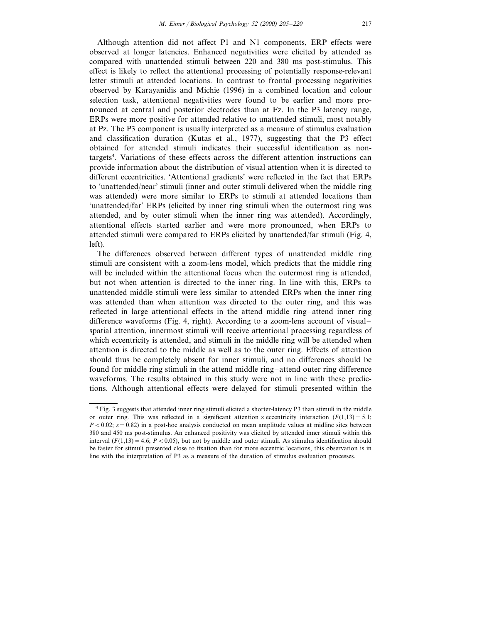Although attention did not affect P1 and N1 components, ERP effects were observed at longer latencies. Enhanced negativities were elicited by attended as compared with unattended stimuli between 220 and 380 ms post-stimulus. This effect is likely to reflect the attentional processing of potentially response-relevant letter stimuli at attended locations. In contrast to frontal processing negativities observed by Karayanidis and Michie (1996) in a combined location and colour selection task, attentional negativities were found to be earlier and more pronounced at central and posterior electrodes than at Fz. In the P3 latency range, ERPs were more positive for attended relative to unattended stimuli, most notably at Pz. The P3 component is usually interpreted as a measure of stimulus evaluation and classification duration (Kutas et al., 1977), suggesting that the P3 effect obtained for attended stimuli indicates their successful identification as nontargets<sup>4</sup>. Variations of these effects across the different attention instructions can provide information about the distribution of visual attention when it is directed to different eccentricities. 'Attentional gradients' were reflected in the fact that ERPs to 'unattended/near' stimuli (inner and outer stimuli delivered when the middle ring was attended) were more similar to ERPs to stimuli at attended locations than 'unattended/far' ERPs (elicited by inner ring stimuli when the outermost ring was attended, and by outer stimuli when the inner ring was attended). Accordingly, attentional effects started earlier and were more pronounced, when ERPs to attended stimuli were compared to ERPs elicited by unattended/far stimuli (Fig. 4, left).

The differences observed between different types of unattended middle ring stimuli are consistent with a zoom-lens model, which predicts that the middle ring will be included within the attentional focus when the outermost ring is attended, but not when attention is directed to the inner ring. In line with this, ERPs to unattended middle stimuli were less similar to attended ERPs when the inner ring was attended than when attention was directed to the outer ring, and this was reflected in large attentional effects in the attend middle ring–attend inner ring difference waveforms (Fig. 4, right). According to a zoom-lens account of visual– spatial attention, innermost stimuli will receive attentional processing regardless of which eccentricity is attended, and stimuli in the middle ring will be attended when attention is directed to the middle as well as to the outer ring. Effects of attention should thus be completely absent for inner stimuli, and no differences should be found for middle ring stimuli in the attend middle ring–attend outer ring difference waveforms. The results obtained in this study were not in line with these predictions. Although attentional effects were delayed for stimuli presented within the

<sup>4</sup> Fig. 3 suggests that attended inner ring stimuli elicited a shorter-latency P3 than stimuli in the middle or outer ring. This was reflected in a significant attention  $\times$  eccentricity interaction ( $F(1,13) = 5.1$ ;  $P < 0.02$ ;  $\varepsilon = 0.82$ ) in a post-hoc analysis conducted on mean amplitude values at midline sites between 380 and 450 ms post-stimulus. An enhanced positivity was elicited by attended inner stimuli within this interval  $(F(1,13) = 4.6; P < 0.05)$ , but not by middle and outer stimuli. As stimulus identification should be faster for stimuli presented close to fixation than for more eccentric locations, this observation is in line with the interpretation of P3 as a measure of the duration of stimulus evaluation processes.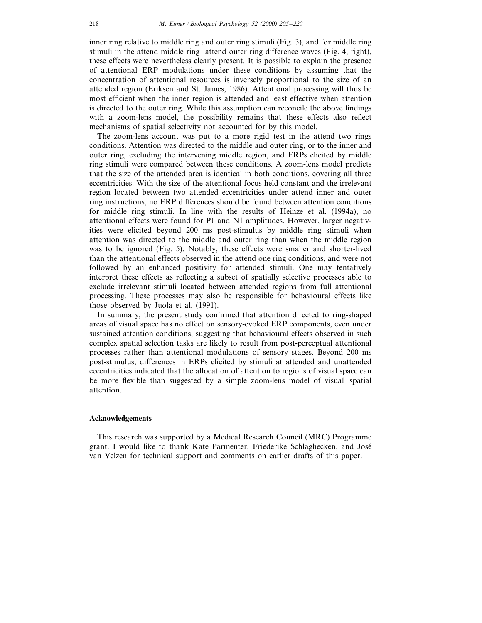inner ring relative to middle ring and outer ring stimuli (Fig. 3), and for middle ring stimuli in the attend middle ring–attend outer ring difference waves (Fig. 4, right), these effects were nevertheless clearly present. It is possible to explain the presence of attentional ERP modulations under these conditions by assuming that the concentration of attentional resources is inversely proportional to the size of an attended region (Eriksen and St. James, 1986). Attentional processing will thus be most efficient when the inner region is attended and least effective when attention is directed to the outer ring. While this assumption can reconcile the above findings with a zoom-lens model, the possibility remains that these effects also reflect mechanisms of spatial selectivity not accounted for by this model.

The zoom-lens account was put to a more rigid test in the attend two rings conditions. Attention was directed to the middle and outer ring, or to the inner and outer ring, excluding the intervening middle region, and ERPs elicited by middle ring stimuli were compared between these conditions. A zoom-lens model predicts that the size of the attended area is identical in both conditions, covering all three eccentricities. With the size of the attentional focus held constant and the irrelevant region located between two attended eccentricities under attend inner and outer ring instructions, no ERP differences should be found between attention conditions for middle ring stimuli. In line with the results of Heinze et al. (1994a), no attentional effects were found for P1 and N1 amplitudes. However, larger negativities were elicited beyond 200 ms post-stimulus by middle ring stimuli when attention was directed to the middle and outer ring than when the middle region was to be ignored (Fig. 5). Notably, these effects were smaller and shorter-lived than the attentional effects observed in the attend one ring conditions, and were not followed by an enhanced positivity for attended stimuli. One may tentatively interpret these effects as reflecting a subset of spatially selective processes able to exclude irrelevant stimuli located between attended regions from full attentional processing. These processes may also be responsible for behavioural effects like those observed by Juola et al. (1991).

In summary, the present study confirmed that attention directed to ring-shaped areas of visual space has no effect on sensory-evoked ERP components, even under sustained attention conditions, suggesting that behavioural effects observed in such complex spatial selection tasks are likely to result from post-perceptual attentional processes rather than attentional modulations of sensory stages. Beyond 200 ms post-stimulus, differences in ERPs elicited by stimuli at attended and unattended eccentricities indicated that the allocation of attention to regions of visual space can be more flexible than suggested by a simple zoom-lens model of visual–spatial attention.

#### **Acknowledgements**

This research was supported by a Medical Research Council (MRC) Programme grant. I would like to thank Kate Parmenter, Friederike Schlaghecken, and Jose´ van Velzen for technical support and comments on earlier drafts of this paper.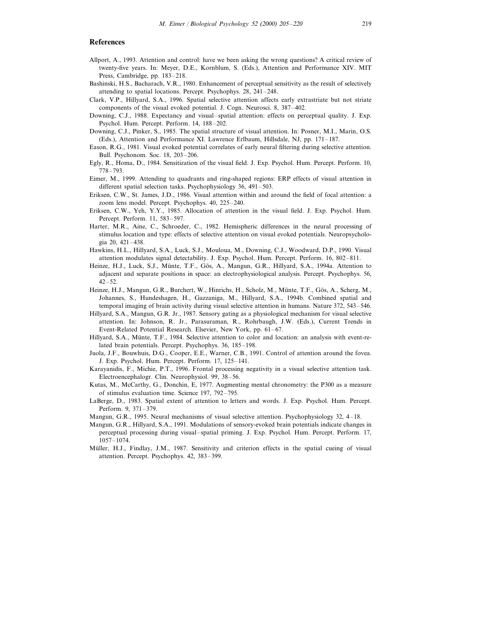#### **References**

- Allport, A., 1993. Attention and control: have we been asking the wrong questions? A critical review of twenty-five years. In: Meyer, D.E., Kornblum, S. (Eds.), Attention and Performance XIV. MIT Press, Cambridge, pp. 183–218.
- Bashinski, H.S., Bacharach, V.R., 1980. Enhancement of perceptual sensitivity as the result of selectively attending to spatial locations. Percept. Psychophys. 28, 241–248.
- Clark, V.P., Hillyard, S.A., 1996. Spatial selective attention affects early extrastriate but not striate components of the visual evoked potential. J. Cogn. Neurosci. 8, 387–402.
- Downing, C.J., 1988. Expectancy and visual–spatial attention: effects on perceptual quality. J. Exp. Psychol. Hum. Percept. Perform. 14, 188–202.
- Downing, C.J., Pinker, S., 1985. The spatial structure of visual attention. In: Posner, M.I., Marin, O.S. (Eds.), Attention and Performance XI. Lawrence Erlbaum, Hillsdale, NJ, pp. 171–187.
- Eason, R.G., 1981. Visual evoked potential correlates of early neural filtering during selective attention. Bull. Psychonom. Soc. 18, 203–206.
- Egly, R., Homa, D., 1984. Sensitization of the visual field. J. Exp. Psychol. Hum. Percept. Perform. 10, 778–793.
- Eimer, M., 1999. Attending to quadrants and ring-shaped regions: ERP effects of visual attention in different spatial selection tasks. Psychophysiology 36, 491–503.
- Eriksen, C.W., St. James, J.D., 1986. Visual attention within and around the field of focal attention: a zoom lens model. Percept. Psychophys. 40, 225–240.
- Eriksen, C.W., Yeh, Y.Y., 1985. Allocation of attention in the visual field. J. Exp. Psychol. Hum. Percept. Perform. 11, 583–597.
- Harter, M.R., Aine, C., Schroeder, C., 1982. Hemispheric differences in the neural processing of stimulus location and type: effects of selective attention on visual evoked potentials. Neuropsychologia 20, 421–438.
- Hawkins, H.L., Hillyard, S.A., Luck, S.J., Mouloua, M., Downing, C.J., Woodward, D.P., 1990. Visual attention modulates signal detectability. J. Exp. Psychol. Hum. Percept. Perform. 16, 802–811.
- Heinze, H.J., Luck, S.J., Münte, T.F., Gös, A., Mangun, G.R., Hillyard, S.A., 1994a. Attention to adjacent and separate positions in space: an electrophysiological analysis. Percept. Psychophys. 56,  $42 - 52$ .
- Heinze, H.J., Mangun, G.R., Burchert, W., Hinrichs, H., Scholz, M., Münte, T.F., Gös, A., Scherg, M., Johannes, S., Hundeshagen, H., Gazzaniga, M., Hillyard, S.A., 1994b. Combined spatial and temporal imaging of brain activity during visual selective attention in humans. Nature 372, 543–546.
- Hillyard, S.A., Mangun, G.R. Jr., 1987. Sensory gating as a physiological mechanism for visual selective attention. In: Johnson, R. Jr., Parasuraman, R., Rohrbaugh, J.W. (Eds.), Current Trends in Event-Related Potential Research. Elsevier, New York, pp. 61–67.
- Hillyard, S.A., Münte, T.F., 1984. Selective attention to color and location: an analysis with event-related brain potentials. Percept. Psychophys. 36, 185–198.
- Juola, J.F., Bouwhuis, D.G., Cooper, E.E., Warner, C.B., 1991. Control of attention around the fovea. J. Exp. Psychol. Hum. Percept. Perform. 17, 125–141.
- Karayanidis, F., Michie, P.T., 1996. Frontal processing negativity in a visual selective attention task. Electroencephalogr. Clin. Neurophysiol. 99, 38–56.
- Kutas, M., McCarthy, G., Donchin, E, 1977. Augmenting mental chronometry: the P300 as a measure of stimulus evaluation time. Science 197, 792–795.
- LaBerge, D., 1983. Spatial extent of attention to letters and words. J. Exp. Psychol. Hum. Percept. Perform. 9, 371–379.
- Mangun, G.R., 1995. Neural mechanisms of visual selective attention. Psychophysiology 32, 4–18.
- Mangun, G.R., Hillyard, S.A., 1991. Modulations of sensory-evoked brain potentials indicate changes in perceptual processing during visual–spatial priming. J. Exp. Psychol. Hum. Percept. Perform. 17, 1057–1074.
- Müller, H.J., Findlay, J.M., 1987. Sensitivity and criterion effects in the spatial cueing of visual attention. Percept. Psychophys. 42, 383–399.